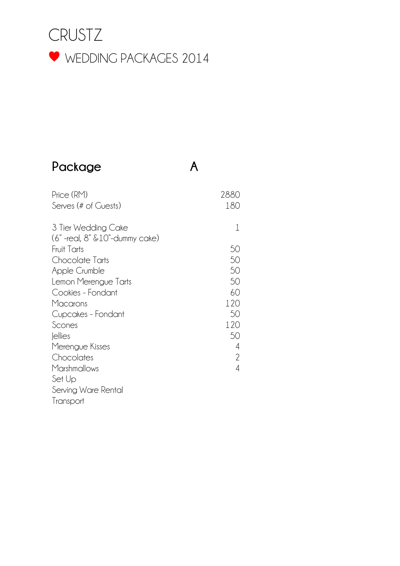

#### **Package A**

Price (RM) 2880 Serves (# of Guests) 180 3 Tier Wedding Cake (6" -real, 8" &10"-dummy cake) 1 Fruit Tarts 50 Chocolate Tarts 50 Apple Crumble 50 Lemon Merengue Tarts 50 Cookies - Fondant 60 Macarons 120<br>Cupcakes - Fondant 120<br>50 Cupcakes - Fondant Scones 120 Jellies 50 Merengue Kisses 4 Chocolates 2 Marshmallows 4 Set Up Serving Ware Rental **Transport**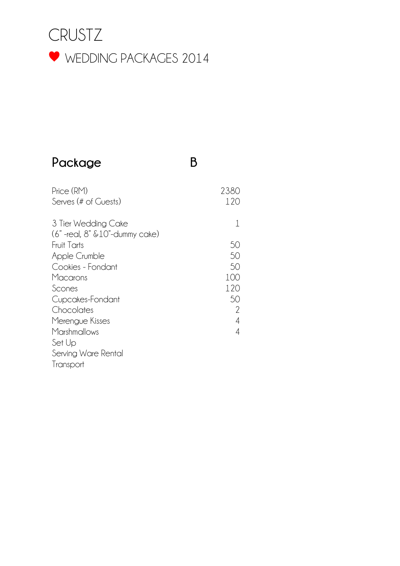

#### **Package B**

| Price (RM)<br>Serves (# of Guests)                            | 2380<br>120   |
|---------------------------------------------------------------|---------------|
| 3 Tier Wedding Cake<br>$(6"$ -real, $8"$ & $10"$ -dummy cake) |               |
| Fruit Tarts                                                   | 50            |
| Apple Crumble                                                 | 50            |
| Cookies - Fondant                                             | 50            |
| Macarons                                                      | 100           |
| Scones                                                        | 120           |
| Cupcakes-Fondant                                              | 50            |
| Chocolates                                                    | $\mathcal{P}$ |
| Merengue Kisses                                               | 4             |
| Marshmallows                                                  | 4             |
| Set Up                                                        |               |
| Serving Ware Rental                                           |               |
| Transport                                                     |               |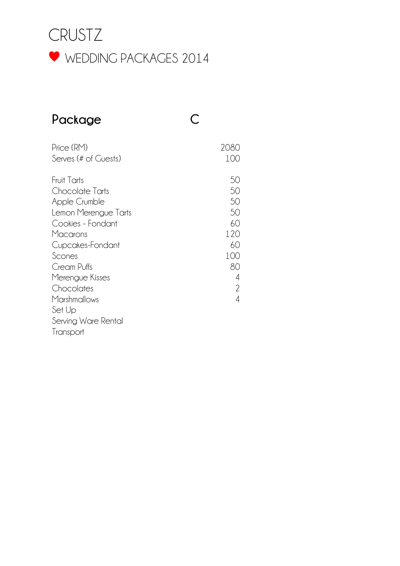

## **Package C**

| Price (RM)<br>Serves (# of Guests)                                                                                                                                                                                                                           | 2080<br>100                                                         |
|--------------------------------------------------------------------------------------------------------------------------------------------------------------------------------------------------------------------------------------------------------------|---------------------------------------------------------------------|
| Fruit Tarts<br>Chocolate Tarts<br>Apple Crumble<br>Lemon Merengue Tarts<br>Cookies - Fondant<br>Macarons<br>Cupcakes-Fondant<br>Scones<br>Cream Puffs<br>Merengue Kisses<br>Chocolates<br>Marshmallows<br>Set Up<br>Serving Ware Rental<br><i>I</i> ransport | 50<br>50<br>50<br>50<br>60<br>120<br>60<br>100<br>80<br>4<br>2<br>4 |
|                                                                                                                                                                                                                                                              |                                                                     |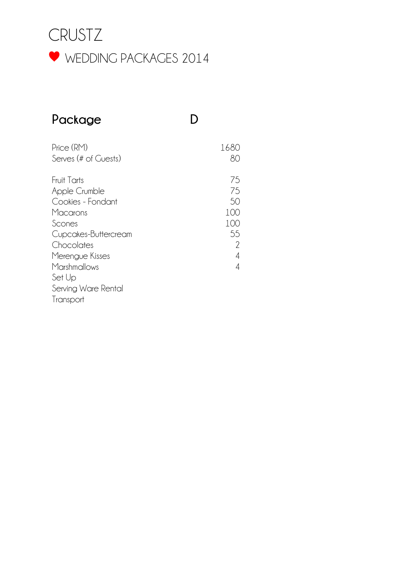

# **Package D**

Price (RM) 1680 Serves (# of Guests) 80 Fruit Tarts<br>Apple Crumble 1996 - 1997 - 1998 - 1999 - 1999 - 1999 - 1999 - 1999 - 1999 - 1999 - 1999 - 1999 - 1999 - 1999<br>The 1999 - 1999 - 1999 - 1999 - 1999 - 1999 - 1999 - 1999 - 1999 - 1999 - 1999 - 1999 - 1999 - 1999 Apple Crumble Cookies - Fondant 50 Macarons 100 Scones 100<br>Cupcakes-Buttercream 100<br>55 Cupcakes-Buttercream 55 Chocolates 2 Merengue Kisses 4 Marshmallows 4 Set Up Serving Ware Rental Transport